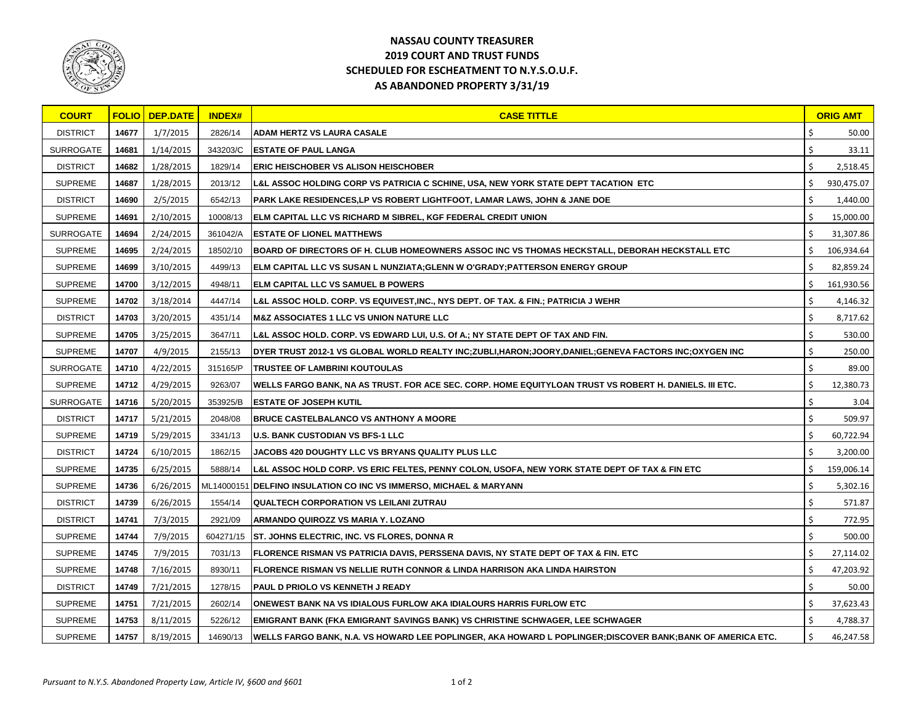

## **NASSAU COUNTY TREASURER 2019 COURT AND TRUST FUNDS SCHEDULED FOR ESCHEATMENT TO N.Y.S.O.U.F. AS ABANDONED PROPERTY 3/31/19**

| <b>COURT</b>     |       | <b>FOLIO DEP.DATE</b> | <b>INDEX#</b> | <b>CASE TITTLE</b>                                                                                        |    | <b>ORIG AMT</b> |
|------------------|-------|-----------------------|---------------|-----------------------------------------------------------------------------------------------------------|----|-----------------|
| <b>DISTRICT</b>  | 14677 | 1/7/2015              | 2826/14       | <b>ADAM HERTZ VS LAURA CASALE</b>                                                                         |    | 50.00           |
| <b>SURROGATE</b> | 14681 | 1/14/2015             | 343203/C      | <b>ESTATE OF PAUL LANGA</b>                                                                               |    | 33.11           |
| <b>DISTRICT</b>  | 14682 | 1/28/2015             | 1829/14       | <b>ERIC HEISCHOBER VS ALISON HEISCHOBER</b>                                                               |    | 2,518.45        |
| <b>SUPREME</b>   | 14687 | 1/28/2015             | 2013/12       | L&L ASSOC HOLDING CORP VS PATRICIA C SCHINE, USA, NEW YORK STATE DEPT TACATION ETC                        |    | 930,475.07      |
| <b>DISTRICT</b>  | 14690 | 2/5/2015              | 6542/13       | PARK LAKE RESIDENCES,LP VS ROBERT LIGHTFOOT, LAMAR LAWS, JOHN & JANE DOE                                  |    | 1,440.00        |
| <b>SUPREME</b>   | 14691 | 2/10/2015             | 10008/13      | ELM CAPITAL LLC VS RICHARD M SIBREL, KGF FEDERAL CREDIT UNION                                             |    | 15,000.00       |
| <b>SURROGATE</b> | 14694 | 2/24/2015             | 361042/A      | <b>ESTATE OF LIONEL MATTHEWS</b>                                                                          |    | 31,307.86       |
| <b>SUPREME</b>   | 14695 | 2/24/2015             | 18502/10      | BOARD OF DIRECTORS OF H. CLUB HOMEOWNERS ASSOC INC VS THOMAS HECKSTALL, DEBORAH HECKSTALL ETC             |    | 106,934.64      |
| <b>SUPREME</b>   | 14699 | 3/10/2015             | 4499/13       | ELM CAPITAL LLC VS SUSAN L NUNZIATA;GLENN W O'GRADY;PATTERSON ENERGY GROUP                                | \$ | 82,859.24       |
| <b>SUPREME</b>   | 14700 | 3/12/2015             | 4948/11       | <b>ELM CAPITAL LLC VS SAMUEL B POWERS</b>                                                                 |    | 161,930.56      |
| <b>SUPREME</b>   | 14702 | 3/18/2014             | 4447/14       | L&L ASSOC HOLD. CORP. VS EQUIVEST,INC., NYS DEPT. OF TAX. & FIN.; PATRICIA J WEHR                         |    | 4,146.32        |
| <b>DISTRICT</b>  | 14703 | 3/20/2015             | 4351/14       | <b>M&amp;Z ASSOCIATES 1 LLC VS UNION NATURE LLC</b>                                                       |    | 8,717.62        |
| <b>SUPREME</b>   | 14705 | 3/25/2015             | 3647/11       | L&L ASSOC HOLD. CORP. VS EDWARD LUI, U.S. Of A.; NY STATE DEPT OF TAX AND FIN.                            | \$ | 530.00          |
| <b>SUPREME</b>   | 14707 | 4/9/2015              | 2155/13       | DYER TRUST 2012-1 VS GLOBAL WORLD REALTY INC;ZUBLI,HARON;JOORY,DANIEL;GENEVA FACTORS INC;OXYGEN INC       |    | 250.00          |
| <b>SURROGATE</b> | 14710 | 4/22/2015             | 315165/P      | <b>TRUSTEE OF LAMBRINI KOUTOULAS</b>                                                                      |    | 89.00           |
| <b>SUPREME</b>   | 14712 | 4/29/2015             | 9263/07       | WELLS FARGO BANK, NA AS TRUST. FOR ACE SEC. CORP. HOME EQUITYLOAN TRUST VS ROBERT H. DANIELS. III ETC.    | \$ | 12,380.73       |
| <b>SURROGATE</b> | 14716 | 5/20/2015             | 353925/B      | <b>ESTATE OF JOSEPH KUTIL</b>                                                                             |    | 3.04            |
| <b>DISTRICT</b>  | 14717 | 5/21/2015             | 2048/08       | <b>BRUCE CASTELBALANCO VS ANTHONY A MOORE</b>                                                             |    | 509.97          |
| <b>SUPREME</b>   | 14719 | 5/29/2015             | 3341/13       | U.S. BANK CUSTODIAN VS BFS-1 LLC                                                                          |    | 60,722.94       |
| <b>DISTRICT</b>  | 14724 | 6/10/2015             | 1862/15       | JACOBS 420 DOUGHTY LLC VS BRYANS QUALITY PLUS LLC                                                         |    | 3,200.00        |
| <b>SUPREME</b>   | 14735 | 6/25/2015             | 5888/14       | L&L ASSOC HOLD CORP. VS ERIC FELTES, PENNY COLON, USOFA, NEW YORK STATE DEPT OF TAX & FIN ETC             |    | 159,006.14      |
| <b>SUPREME</b>   | 14736 | 6/26/2015             |               | ML14000151 DELFINO INSULATION CO INC VS IMMERSO, MICHAEL & MARYANN                                        | \$ | 5,302.16        |
| <b>DISTRICT</b>  | 14739 | 6/26/2015             | 1554/14       | <b>QUALTECH CORPORATION VS LEILANI ZUTRAU</b>                                                             |    | 571.87          |
| <b>DISTRICT</b>  | 14741 | 7/3/2015              | 2921/09       | <b>ARMANDO QUIROZZ VS MARIA Y. LOZANO</b>                                                                 | \$ | 772.95          |
| <b>SUPREME</b>   | 14744 | 7/9/2015              | 604271/15     | <b>ST. JOHNS ELECTRIC, INC. VS FLORES, DONNA R</b>                                                        |    | 500.00          |
| <b>SUPREME</b>   | 14745 | 7/9/2015              | 7031/13       | FLORENCE RISMAN VS PATRICIA DAVIS, PERSSENA DAVIS, NY STATE DEPT OF TAX & FIN. ETC                        |    | 27,114.02       |
| <b>SUPREME</b>   | 14748 | 7/16/2015             | 8930/11       | <b>FLORENCE RISMAN VS NELLIE RUTH CONNOR &amp; LINDA HARRISON AKA LINDA HAIRSTON</b>                      | Ş  | 47,203.92       |
| <b>DISTRICT</b>  | 14749 | 7/21/2015             | 1278/15       | <b>PAUL D PRIOLO VS KENNETH J READY</b>                                                                   |    | 50.00           |
| <b>SUPREME</b>   | 14751 | 7/21/2015             | 2602/14       | ONEWEST BANK NA VS IDIALOUS FURLOW AKA IDIALOURS HARRIS FURLOW ETC                                        |    | 37,623.43       |
| <b>SUPREME</b>   | 14753 | 8/11/2015             | 5226/12       | <b>EMIGRANT BANK (FKA EMIGRANT SAVINGS BANK) VS CHRISTINE SCHWAGER, LEE SCHWAGER</b>                      | -S | 4,788.37        |
| <b>SUPREME</b>   | 14757 | 8/19/2015             | 14690/13      | WELLS FARGO BANK, N.A. VS HOWARD LEE POPLINGER, AKA HOWARD L POPLINGER;DISCOVER BANK;BANK OF AMERICA ETC. | S. | 46,247.58       |